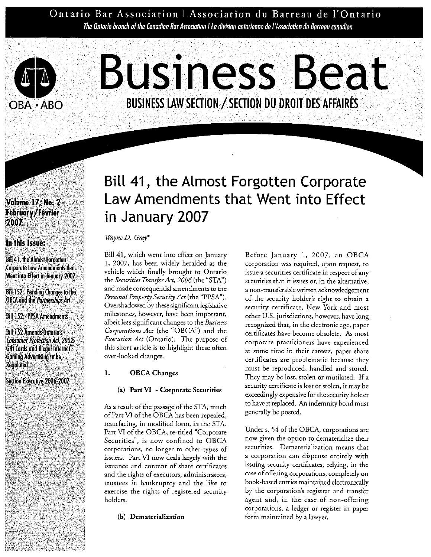Ontario Bar Association | Association du Barreau de l'Ontario The Ontario branch of the Canadian Bar Association | La divisian antarienne de l'Association du Barreau canadien



# **Business Beat BUSINESS LAW SECTION / SECTION DU DROIT DES AFFAIRES**

# **Volume 17, No. 2** February/Février 2007

#### In this Issue:

**Bill 41, the Almost Forgotten Corporate Law Amendments that** Went into Effect in January 2007

**Bill 152: Pending Changes to the OBCA** and the *Partnerships Act* 

**Bill 152: PPSA Amendments** 

**Bill 152 Amends Ontario's Consumer-Protection Act. 2002.** Gift Cards and Illegal Internet Gaming Advertising to be **Regulated** 

Section Executive 2006-2007

# Bill 41, the Almost Forgotten Corporate Law Amendments that Went into Effect in January 2007

#### *Wayne D. Gray\**

Bill 41, which went into effect on January 1, 2007, has been widely heralded as the vehicle which finally brought to Ontario the *Securities Transfer Act*, 2006 (the "STA") and made consequential amendments to the *Personal Property Security Act* (the "PPSA"). Overshadowed by these significant legislative milestones, however, have been important, albeit less significant changes to the *Business Corporations Act* (the "OBCA") and the *Execution Act* (Ontario). The purpose of this short article is to highlight these often over-looked changes.

#### 1. OBCA Changes

#### (a) **Part VI** - Corporate Securities

**As** a result of the passage of the STA, much of Part VI of the OBCA has been repealed, resurfacing, in modified form, in the STA. Part VI of the OBCA, re-titled "Corporate Securities", is now confined to OBCA corporations, no longer to other types of issuers. Part VI now deals largely with the issuance and content of share certificates and the rights of executors, administrators, trustees in bankruptcy and the like to exercise the rights of registered security holders.

**(b)** Dematerialization

Before January 1, 2007, an OBCA corporation was required, upon request, to issue a securities certificate in respect of any securities that it issues or, in the alternative, a non-transferable written acknowledgement of the security holder's right to obtain a security certificate. New York and most other U.S. jurisdictions, however, have long recognized that, in the electronic age, paper certificates have become obsolete. **As** most corporate practitioners have experienced at some time in their careers, paper share certificates are problematic because they must be reproduced, handled and stored. They may be lost, stolen or mutilated. If a security certificate is lost or stolen, it may be exceedingly expensive for the security holder to have it replaced. An indemnity bond must generally be posted.

Under s. 54 of the OBCA, corporations are now given the option to dematerialize their securities. Dematerialization means that a corporation can dispense entirely with issuing security certificates, relying, in the case of offering corporations, completely on book-based entries maintained electronically by the corporation's registrar and transfer agent and, in the case of non-offering corporations, a ledger or register in paper form maintained by a lawyer.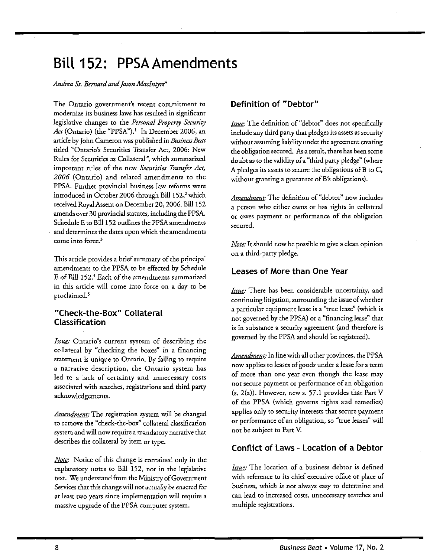# **Bill 152: PPSA Amendments**

#### *Andrea St. Bernard andJaron Maclntyre\**

The Ontario government's recent commitment to modernize its business laws has resulted in significant legislative changes to the *Personal Property Security Act* (Ontario) (the "PPSA").' In December 2006, an article by John Cameron was published in *Business Beat* titled "Ontario's Securities Transfer Act, 2006: New Rules for Securities as Collateral", which summarized important rules of the new *Securities Transfer Act, 2006* (Ontario) and related amendments to the PPSA. Further provincial business law reforms were introduced in October 2006 through Bill 152,<sup>2</sup> which received Royal Assent on December 20, 2006. Bill 152 amends over 30 provincial statutes, including the PPSA Schedule E to Bill 152 outlines the PPSA amendments and determines the dates upon which the amendments come into force.<sup>3</sup>

This article provides a brief summary of the principal amendments to the PPSA to be effected by Schedule E of Bill 152.4 Each of the amendments summarized in this article will come into force on a day to be  $\frac{I_{\text{S512C}}}{I_{\text{S132C}}}$ . There has been considerable uncertainty, and proclaimed.<sup>5</sup>

#### **"Check-the-Box" Collateral Classification**

*Issue:* Ontario's current system of describing the governed by the PPSA and should be registered).<br>
collateral by "checking the boxes" in a financing statement is unique to Ontario. By failing to require *Amendment*: In line with all other provinces, the PPSA statement is unique to Ontario. By failing to require now applies to leases of goods under a lease for a term a narrative description, the Ontario system has led to a lack of certainty and unnecessary costs of more than one year even though the lease may<br>associated with searches registrations and third party not secure payment or performance of an obligation associated with searches, registrations and third party acknowledgements.  $($ s. 2(a)). However, new s. 57.1 provides that Part V

*Amendment:* The registration system will be changed to remove the "check-the-box" collateral classification system and will now require a mandatory narrative that describes the collateral by item or type.

Note: Notice of this change is contained only in the explanatory notes to Bill 152, not in the legislative text. We understand from the Ministry of Government Services that this change will not actually be enacted for at least two years since implementation will require a massive upgrade of the PPSA computer system.

# **Definition of "Debtor"**

Issue: The definition of "debtor" does not specifically include any third party that pledges its assets as security without assuming liability under the agreement creating the obligation secured. As aresult, there has been some doubt as to the validity of a "third party pledge" (where A pledges its assets to secure the obligations of B to C, without granting a guarantee of B's obligations).

*Amendment:* The definition of "debtor" now includes a person who either owns or has rights in collateral or owes payment or performance of the obligation secured.

Note: It should now be possible to give a clean opinion on a third-party pledge.

#### **Leases of More than One Year**

continuing litigation, surrounding the issue of whether a particular equipment lease is a "true lease" (which is not governed by the PPSA) or a "financing lease" that is in substance a security agreement (and therefore is

of the PPSA (which governs rights and remedies) applies only to security interests that secure payment or performance of an obligation, so "true leases" will not be subject to Part **V.** 

#### **Conflict of Laws** - **Location of a Debtor**

Issue: The location of a business debtor is defined with reference to its chief executive office or place of business, which is not always easy to determine and can lead to increased costs, unnecessary searches and multiple registrations.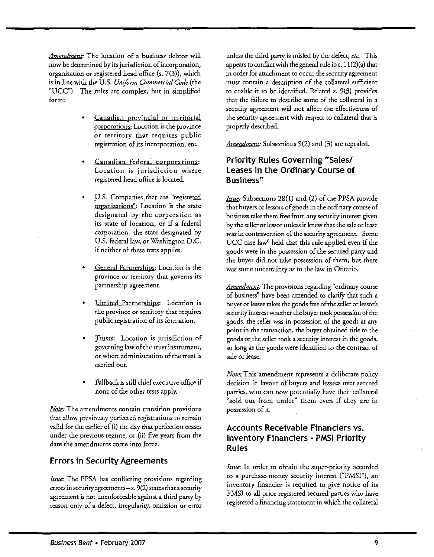*Amendment:* The location of a business debtor will now be determined by its jurisdiction of incorporation, organization or registered head office (s. 7(3)), which is in line with the U.S. *Uniform Commercial Code* (the "UCC"). The rules are complex, but in simplified form:

- Canadian provincial or territorial corporations: Location is the province or territory that requires public registration of its incorporation, etc.
- Canadian federal corporations: Location is jurisdiction where registered head office is located.
- U.S. Companies that are "registered organizations": Location is the state designated by the corporation as its state of location, or if a federal corporation, the state designated by U.S. federal law, or Washington D.C. if neither of these tests applies.
- General Partnerships: Location is the province or territory that governs its partnership agreement.
- Limited Partnerships: Location is the province or territory that requires public registration of its formation.
- Trusts: Location is jurisdiction of governing law of the trust instrument, or where administration of the trust is carried out.
- Fallback is still chief executive office if none of the other tests apply.

*Note:* The amendments contain transition provisions that allow previously perfected registrations to remain valid for the earlier of (i) the day that perfection ceases under the previous regime, or (ii) five years from the date the amendments come into force.

# **Errors in Security Agreements**

*hexie:* The PPSA has conflicting provisions regarding to a purchase-money security interest ("PMSI"), and<br>experiments and the property of the property interest ("PMSI"), and inventory financier is required to give notice errors in security agreements – s. 9(2) states that a security inventory financier is required to give notice of its<br>PMSI to all prior registered secured parties who have agreement is not unenforceable against a third party by PMSI to all prior registered secured parties who have<br>registered a financing statement in which the collateral reason only of a defect, irregularity, omission or error

unless the third party is misled by the defect, *etc.* This appears to conflict with the general rule ins. 11 (2)(a) that in order for attachment to occur the security agreement must contain a description of the collateral sufficient to enable it to be identified. Related s. 9(3) provides that the failure to describe some of the collateral in a security agreement will not affect the effectiveness of the security agreement with respect to collateral that is properly described.

*Amendment:* Subsections 9(2) and (3) are repealed.

### **Priority Rules Governing "Sales1 Leases in the Ordinary Course of Business"**

*Issue:* Subsections 28(1) and (2) of the PPSA provide that buyers or lessors of goods in the ordinary course of business take them free from any security interest given by the seller or lessor unless it **knew** that the sale or lease was in contravention of the security agreement. Some UCC case law<sup>6</sup> held that this rule applied even if the goods were in the possession of the secured party and the buyer did not take possession of them, but there was some uncertainty as to the law in Ontario.

*Amendment:* The provisions regarding "ordinary course of business" have been amended to clarify that such a buyer or lessee takes the goods free of the seller or lessor's security interest whether the buyer took possession of the goods, the seller was in possession of the goods at any point in the transaction, the buyer obtained title to the goods or the seller took a security interest in the goods, so long as the goods were identified to the contract of sale or lease.

Note: This amendment represents a deliberate policy decision in favour of buyers and lessees over secured parties, who can now potentially have their collateral "sold out from under" them even if they are in possession of it.

# **Accounts Receivable Financiers vs. Inventory Financiers** - **PMSI Priority Rules**

*Issue:* In order to obtain the super-priority accorded to a purchase-money security interest ("PMSI"), an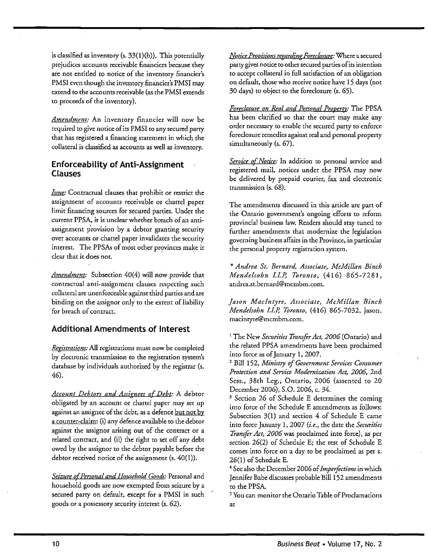is classified as inventory (s.  $33(1)(b)$ ). This potentially prejudices accounts receivable financiers because they are not entitled to notice of the inventory financier's PMSI even though the inventory financier's PMSI may extend to the accounts receivable (as the PMSI extends to proceeds of the inventory).

Amendment: An inventory financier will now be required to give notice of its PMSI to any secured party that has registered a financing statement in which the collateral is classified as accounts as well as inventory.

### **Enforceability of Anti-Assignment Clauses**

*Issue:* Contractual clauses that prohibit or restrict the assignment of accounts receivable or chattel paper limit financing sources for secured parties. Under the current PPSA, it is unclear whether breach of an antiassignment provision by a debtor granting security over accounts or chattel paper invalidates the security interest. The PPSAs of most other provinces make it clear that it does not.

*Amendment:* Subsection 40(4) will now provide that contractual anti-assignment clauses respecting such collateral are unenforceable against third parties and are binding on the assignor only to the extent of liability for breach of contract.

# **Additional Amendments of Interest**

*Reflihations:* All registrations must now be completed by electronic transmission to the registration system's database by individuals authorized by the registrar (s. 46).

*Account Debtors and Assiznees 0-f Debt:* A debtor obligated by an account or chattel paper may set up against an assignee of the debt, as a defence but not by a counter-claim: (i) any defence available to the debtor against the assignor arising out of the contract or a related contract, and (ii) the right to set off any debt owed by the assignor to the debtor payable before the debtor received notice of the assignment (s. 40(1)).

Seizure of Personal and Household Goods: Personal and household goods are now exempted from seizure by a secured party on default, except for a PMSI in such goods or a possessory security interest (s. 62).

*Notice Provisions repardinp Foreclosure:* Where a secured party gives notice to other secured parties of its intention to accept collateral in full satisfaction of an obligation on default, those who receive notice have 15. days (not 30 days) to object to the foreclosure (s. 65).

Foreclosure on Real and Personal Property: The PPSA has been clarified so that the court may make any order necessary to enable the secured party to enforce foredosure remedies against real and personal properry simultaneously (s. 67).

*Service* of *Notice:* In addition to personal service and registered mail, notices under the PPSA may now be delivered by prepaid courier, fax and electronic transmission (s. 68).

The amendments discussed in this artide are part of the Ontario government's ongoing efforts to reform provincial business law. Readers should stay tuned to further amendments that modernize the legislation governing business affairs in the Province, in particular the personal property registration system.

*\*Andrea St. Bernard, Associate, McMillan Binch Mendelsohn LLP, Toronto, (416) 865-7281,* andrea.st.bernard@mcmbm.com.

*Jason MacIntyre, Associate, McMillan Binch Mendelsohn LLI: Toronto,* (416) 865-7032, jason. macintyre@mcmbm.com.

<sup>1</sup> The New *Securities Transfer Act*, 2006 (Ontario) and the related PPSA amendments have been proclaimed into force as of January 1,2007.

<sup>2</sup> Bill 152, Ministry of Government Services Consumer *Protection and Service Modernization Act,* 2006, 2nd Sess., 38th Leg., Ontario, 2006 (assented to 20 December 2006), S.O. 2006, c. 34.

<sup>3</sup> Section 26 of Schedule E determines the coming into force of the Schedule E amendments as follows: Subsection 3(1) and section 4 of Schedule E came into force January 1, 2007 (i.e., the date the *Securities Tranger Act,* 2006was proclaimed into force), as per section 26(2) of Schedule E; the rest of Schedule E comes into force on a day to be proclaimed as per s. 26(1) of Schedule E.

<sup>4</sup> See also the December 2006 of *Imperfections* in which Jennifer Babe discusses probable Bill 152 amendments to the PPSA. mendments<br>oclamations<br>= 17, No. 2

You can monitor the Ontario Table of Prodamations at